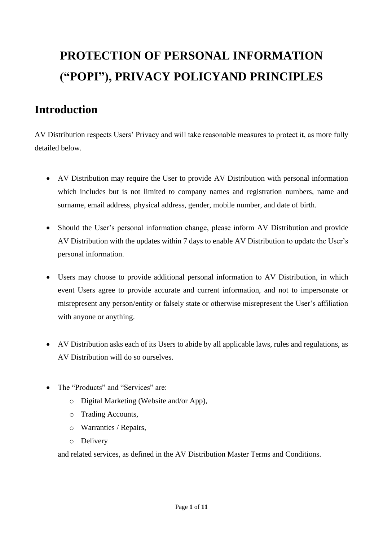# **PROTECTION OF PERSONAL INFORMATION ("POPI"), PRIVACY POLICYAND PRINCIPLES**

## **Introduction**

AV Distribution respects Users' Privacy and will take reasonable measures to protect it, as more fully detailed below.

- AV Distribution may require the User to provide AV Distribution with personal information which includes but is not limited to company names and registration numbers, name and surname, email address, physical address, gender, mobile number, and date of birth.
- Should the User's personal information change, please inform AV Distribution and provide AV Distribution with the updates within 7 days to enable AV Distribution to update the User's personal information.
- Users may choose to provide additional personal information to AV Distribution, in which event Users agree to provide accurate and current information, and not to impersonate or misrepresent any person/entity or falsely state or otherwise misrepresent the User's affiliation with anyone or anything.
- AV Distribution asks each of its Users to abide by all applicable laws, rules and regulations, as AV Distribution will do so ourselves.
- The "Products" and "Services" are:
	- o Digital Marketing (Website and/or App),
	- o Trading Accounts,
	- o Warranties / Repairs,
	- o Delivery

and related services, as defined in the AV Distribution Master Terms and Conditions.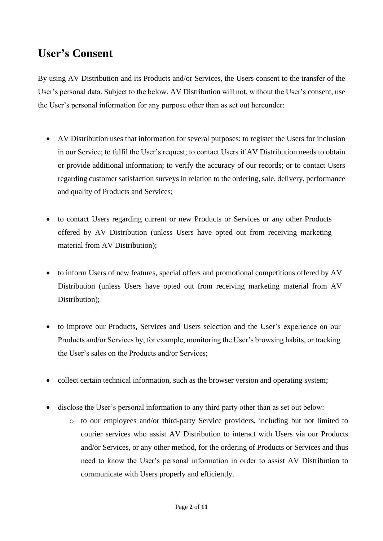# **User's Consent**

By using AV Distribution and its Products and/or Services, the Users consent to the transfer of the User's personal data. Subject to the below, AV Distribution will not, without the User's consent, use the User's personal information for any purpose other than as set out hereunder:

- AV Distribution uses that information for several purposes: to register the Users for inclusion in our Service; to fulfil the User's request; to contact Users if AV Distribution needs to obtain or provide additional information; to verify the accuracy of our records; or to contact Users regarding customer satisfaction surveys in relation to the ordering, sale, delivery, performance and quality of Products and Services;
- to contact Users regarding current or new Products or Services or any other Products offered by AV Distribution (unless Users have opted out from receiving marketing material from AV Distribution);
- to inform Users of new features, special offers and promotional competitions offered by AV Distribution (unless Users have opted out from receiving marketing material from AV Distribution);
- to improve our Products, Services and Users selection and the User's experience on our Products and/or Services by, for example, monitoring the User's browsing habits, or tracking the User's sales on the Products and/or Services;
- collect certain technical information, such as the browser version and operating system;
- disclose the User's personal information to any third party other than as set out below:
	- o to our employees and/or third-party Service providers, including but not limited to courier services who assist AV Distribution to interact with Users via our Products and/or Services, or any other method, for the ordering of Products or Services and thus need to know the User's personal information in order to assist AV Distribution to communicate with Users properly and efficiently.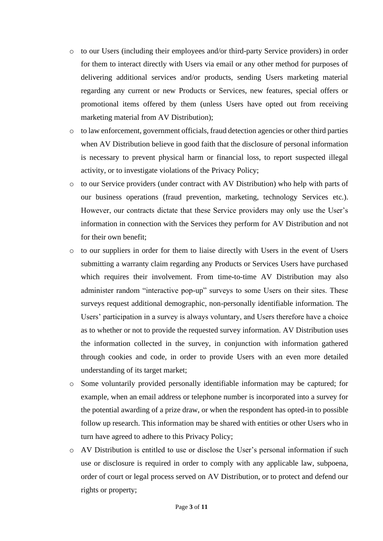- o to our Users (including their employees and/or third-party Service providers) in order for them to interact directly with Users via email or any other method for purposes of delivering additional services and/or products, sending Users marketing material regarding any current or new Products or Services, new features, special offers or promotional items offered by them (unless Users have opted out from receiving marketing material from AV Distribution);
- o to law enforcement, government officials, fraud detection agencies or other third parties when AV Distribution believe in good faith that the disclosure of personal information is necessary to prevent physical harm or financial loss, to report suspected illegal activity, or to investigate violations of the Privacy Policy;
- o to our Service providers (under contract with AV Distribution) who help with parts of our business operations (fraud prevention, marketing, technology Services etc.). However, our contracts dictate that these Service providers may only use the User's information in connection with the Services they perform for AV Distribution and not for their own benefit;
- o to our suppliers in order for them to liaise directly with Users in the event of Users submitting a warranty claim regarding any Products or Services Users have purchased which requires their involvement. From time-to-time AV Distribution may also administer random "interactive pop-up" surveys to some Users on their sites. These surveys request additional demographic, non-personally identifiable information. The Users' participation in a survey is always voluntary, and Users therefore have a choice as to whether or not to provide the requested survey information. AV Distribution uses the information collected in the survey, in conjunction with information gathered through cookies and code, in order to provide Users with an even more detailed understanding of its target market;
- o Some voluntarily provided personally identifiable information may be captured; for example, when an email address or telephone number is incorporated into a survey for the potential awarding of a prize draw, or when the respondent has opted-in to possible follow up research. This information may be shared with entities or other Users who in turn have agreed to adhere to this Privacy Policy;
- o AV Distribution is entitled to use or disclose the User's personal information if such use or disclosure is required in order to comply with any applicable law, subpoena, order of court or legal process served on AV Distribution, or to protect and defend our rights or property;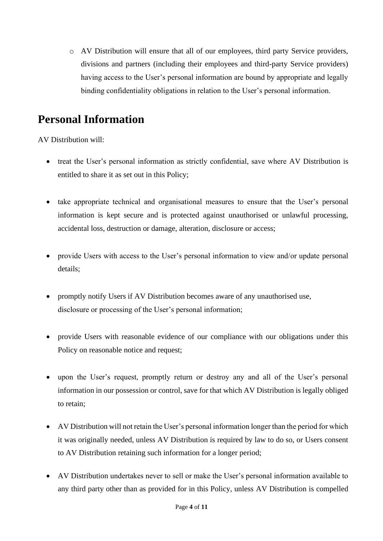o AV Distribution will ensure that all of our employees, third party Service providers, divisions and partners (including their employees and third-party Service providers) having access to the User's personal information are bound by appropriate and legally binding confidentiality obligations in relation to the User's personal information.

## **Personal Information**

AV Distribution will:

- treat the User's personal information as strictly confidential, save where AV Distribution is entitled to share it as set out in this Policy;
- take appropriate technical and organisational measures to ensure that the User's personal information is kept secure and is protected against unauthorised or unlawful processing, accidental loss, destruction or damage, alteration, disclosure or access;
- provide Users with access to the User's personal information to view and/or update personal details;
- promptly notify Users if AV Distribution becomes aware of any unauthorised use, disclosure or processing of the User's personal information;
- provide Users with reasonable evidence of our compliance with our obligations under this Policy on reasonable notice and request;
- upon the User's request, promptly return or destroy any and all of the User's personal information in our possession or control, save for that which AV Distribution is legally obliged to retain;
- AV Distribution will not retain the User's personal information longer than the period for which it was originally needed, unless AV Distribution is required by law to do so, or Users consent to AV Distribution retaining such information for a longer period;
- AV Distribution undertakes never to sell or make the User's personal information available to any third party other than as provided for in this Policy, unless AV Distribution is compelled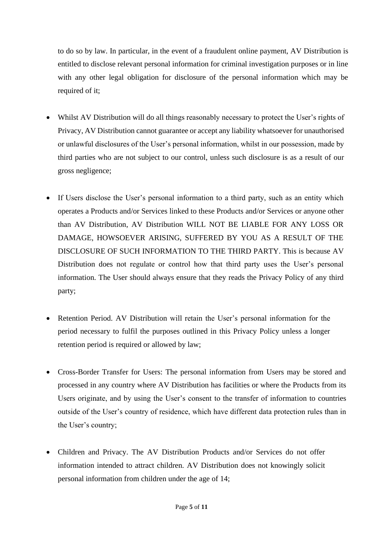to do so by law. In particular, in the event of a fraudulent online payment, AV Distribution is entitled to disclose relevant personal information for criminal investigation purposes or in line with any other legal obligation for disclosure of the personal information which may be required of it;

- Whilst AV Distribution will do all things reasonably necessary to protect the User's rights of Privacy, AV Distribution cannot guarantee or accept any liability whatsoever for unauthorised or unlawful disclosures of the User's personal information, whilst in our possession, made by third parties who are not subject to our control, unless such disclosure is as a result of our gross negligence;
- If Users disclose the User's personal information to a third party, such as an entity which operates a Products and/or Services linked to these Products and/or Services or anyone other than AV Distribution, AV Distribution WILL NOT BE LIABLE FOR ANY LOSS OR DAMAGE, HOWSOEVER ARISING, SUFFERED BY YOU AS A RESULT OF THE DISCLOSURE OF SUCH INFORMATION TO THE THIRD PARTY. This is because AV Distribution does not regulate or control how that third party uses the User's personal information. The User should always ensure that they reads the Privacy Policy of any third party;
- Retention Period. AV Distribution will retain the User's personal information for the period necessary to fulfil the purposes outlined in this Privacy Policy unless a longer retention period is required or allowed by law;
- Cross-Border Transfer for Users: The personal information from Users may be stored and processed in any country where AV Distribution has facilities or where the Products from its Users originate, and by using the User's consent to the transfer of information to countries outside of the User's country of residence, which have different data protection rules than in the User's country;
- Children and Privacy. The AV Distribution Products and/or Services do not offer information intended to attract children. AV Distribution does not knowingly solicit personal information from children under the age of 14;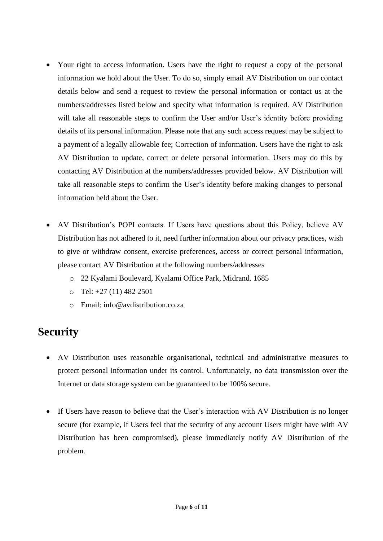- Your right to access information. Users have the right to request a copy of the personal information we hold about the User. To do so, simply email AV Distribution on our contact details below and send a request to review the personal information or contact us at the numbers/addresses listed below and specify what information is required. AV Distribution will take all reasonable steps to confirm the User and/or User's identity before providing details of its personal information. Please note that any such access request may be subject to a payment of a legally allowable fee; Correction of information. Users have the right to ask AV Distribution to update, correct or delete personal information. Users may do this by contacting AV Distribution at the numbers/addresses provided below. AV Distribution will take all reasonable steps to confirm the User's identity before making changes to personal information held about the User.
- AV Distribution's POPI contacts. If Users have questions about this Policy, believe AV Distribution has not adhered to it, need further information about our privacy practices, wish to give or withdraw consent, exercise preferences, access or correct personal information, please contact AV Distribution at the following numbers/addresses
	- o 22 Kyalami Boulevard, Kyalami Office Park, Midrand. 1685
	- $O$  Tel:  $+27(11)$  482 2501
	- o Email: info@avdistribution.co.za

#### **Security**

- AV Distribution uses reasonable organisational, technical and administrative measures to protect personal information under its control. Unfortunately, no data transmission over the Internet or data storage system can be guaranteed to be 100% secure.
- If Users have reason to believe that the User's interaction with AV Distribution is no longer secure (for example, if Users feel that the security of any account Users might have with AV Distribution has been compromised), please immediately notify AV Distribution of the problem.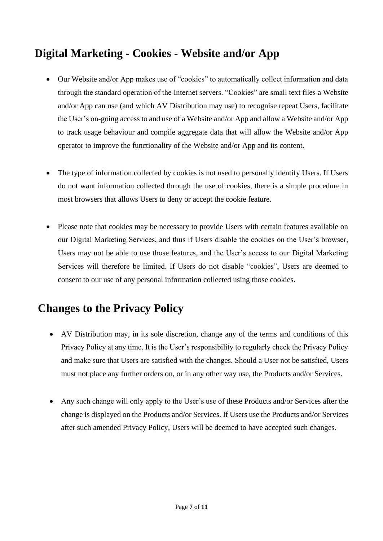# **Digital Marketing - Cookies - Website and/or App**

- Our Website and/or App makes use of "cookies" to automatically collect information and data through the standard operation of the Internet servers. "Cookies" are small text files a Website and/or App can use (and which AV Distribution may use) to recognise repeat Users, facilitate the User's on-going access to and use of a Website and/or App and allow a Website and/or App to track usage behaviour and compile aggregate data that will allow the Website and/or App operator to improve the functionality of the Website and/or App and its content.
- The type of information collected by cookies is not used to personally identify Users. If Users do not want information collected through the use of cookies, there is a simple procedure in most browsers that allows Users to deny or accept the cookie feature.
- Please note that cookies may be necessary to provide Users with certain features available on our Digital Marketing Services, and thus if Users disable the cookies on the User's browser, Users may not be able to use those features, and the User's access to our Digital Marketing Services will therefore be limited. If Users do not disable "cookies", Users are deemed to consent to our use of any personal information collected using those cookies.

# **Changes to the Privacy Policy**

- AV Distribution may, in its sole discretion, change any of the terms and conditions of this Privacy Policy at any time. It is the User's responsibility to regularly check the Privacy Policy and make sure that Users are satisfied with the changes. Should a User not be satisfied, Users must not place any further orders on, or in any other way use, the Products and/or Services.
- Any such change will only apply to the User's use of these Products and/or Services after the change is displayed on the Products and/or Services. If Users use the Products and/or Services after such amended Privacy Policy, Users will be deemed to have accepted such changes.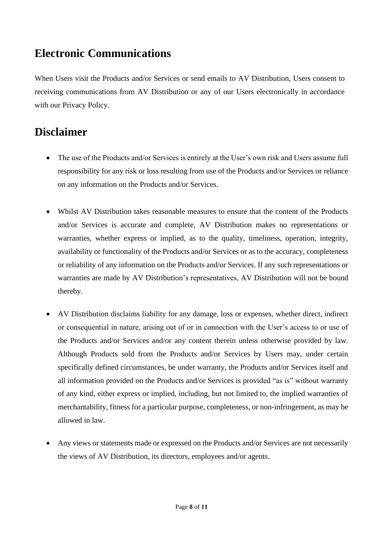## **Electronic Communications**

When Users visit the Products and/or Services or send emails to AV Distribution, Users consent to receiving communications from AV Distribution or any of our Users electronically in accordance with our Privacy Policy.

# **Disclaimer**

- The use of the Products and/or Services is entirely at the User's own risk and Users assume full responsibility for any risk or loss resulting from use of the Products and/or Services or reliance on any information on the Products and/or Services.
- Whilst AV Distribution takes reasonable measures to ensure that the content of the Products and/or Services is accurate and complete, AV Distribution makes no representations or warranties, whether express or implied, as to the quality, timeliness, operation, integrity, availability or functionality of the Products and/or Services or as to the accuracy, completeness or reliability of any information on the Products and/or Services. If any such representations or warranties are made by AV Distribution's representatives, AV Distribution will not be bound thereby.
- AV Distribution disclaims liability for any damage, loss or expenses, whether direct, indirect or consequential in nature, arising out of or in connection with the User's access to or use of the Products and/or Services and/or any content therein unless otherwise provided by law. Although Products sold from the Products and/or Services by Users may, under certain specifically defined circumstances, be under warranty, the Products and/or Services itself and all information provided on the Products and/or Services is provided "as is" without warranty of any kind, either express or implied, including, but not limited to, the implied warranties of merchantability, fitness for a particular purpose, completeness, or non-infringement, as may be allowed in law.
- Any views or statements made or expressed on the Products and/or Services are not necessarily the views of AV Distribution, its directors, employees and/or agents.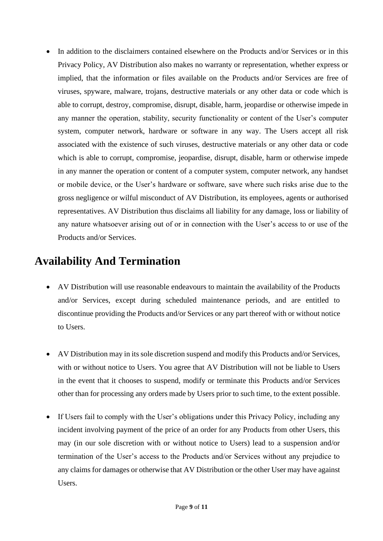• In addition to the disclaimers contained elsewhere on the Products and/or Services or in this Privacy Policy, AV Distribution also makes no warranty or representation, whether express or implied, that the information or files available on the Products and/or Services are free of viruses, spyware, malware, trojans, destructive materials or any other data or code which is able to corrupt, destroy, compromise, disrupt, disable, harm, jeopardise or otherwise impede in any manner the operation, stability, security functionality or content of the User's computer system, computer network, hardware or software in any way. The Users accept all risk associated with the existence of such viruses, destructive materials or any other data or code which is able to corrupt, compromise, jeopardise, disrupt, disable, harm or otherwise impede in any manner the operation or content of a computer system, computer network, any handset or mobile device, or the User's hardware or software, save where such risks arise due to the gross negligence or wilful misconduct of AV Distribution, its employees, agents or authorised representatives. AV Distribution thus disclaims all liability for any damage, loss or liability of any nature whatsoever arising out of or in connection with the User's access to or use of the Products and/or Services.

#### **Availability And Termination**

- AV Distribution will use reasonable endeavours to maintain the availability of the Products and/or Services, except during scheduled maintenance periods, and are entitled to discontinue providing the Products and/or Services or any part thereof with or without notice to Users.
- AV Distribution may in its sole discretion suspend and modify this Products and/or Services, with or without notice to Users. You agree that AV Distribution will not be liable to Users in the event that it chooses to suspend, modify or terminate this Products and/or Services other than for processing any orders made by Users prior to such time, to the extent possible.
- If Users fail to comply with the User's obligations under this Privacy Policy, including any incident involving payment of the price of an order for any Products from other Users, this may (in our sole discretion with or without notice to Users) lead to a suspension and/or termination of the User's access to the Products and/or Services without any prejudice to any claims for damages or otherwise that AV Distribution or the other User may have against Users.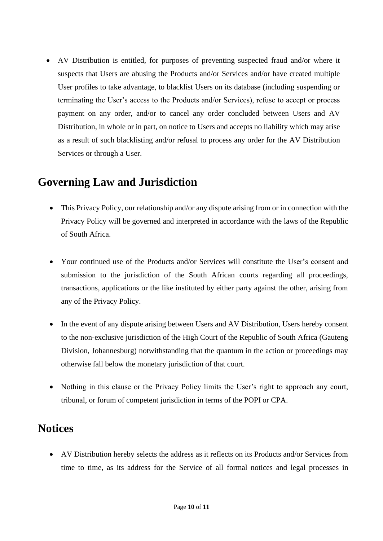• AV Distribution is entitled, for purposes of preventing suspected fraud and/or where it suspects that Users are abusing the Products and/or Services and/or have created multiple User profiles to take advantage, to blacklist Users on its database (including suspending or terminating the User's access to the Products and/or Services), refuse to accept or process payment on any order, and/or to cancel any order concluded between Users and AV Distribution, in whole or in part, on notice to Users and accepts no liability which may arise as a result of such blacklisting and/or refusal to process any order for the AV Distribution Services or through a User.

#### **Governing Law and Jurisdiction**

- This Privacy Policy, our relationship and/or any dispute arising from or in connection with the Privacy Policy will be governed and interpreted in accordance with the laws of the Republic of South Africa.
- Your continued use of the Products and/or Services will constitute the User's consent and submission to the jurisdiction of the South African courts regarding all proceedings, transactions, applications or the like instituted by either party against the other, arising from any of the Privacy Policy.
- In the event of any dispute arising between Users and AV Distribution, Users hereby consent to the non-exclusive jurisdiction of the High Court of the Republic of South Africa (Gauteng Division, Johannesburg) notwithstanding that the quantum in the action or proceedings may otherwise fall below the monetary jurisdiction of that court.
- Nothing in this clause or the Privacy Policy limits the User's right to approach any court, tribunal, or forum of competent jurisdiction in terms of the POPI or CPA.

#### **Notices**

• AV Distribution hereby selects the address as it reflects on its Products and/or Services from time to time, as its address for the Service of all formal notices and legal processes in